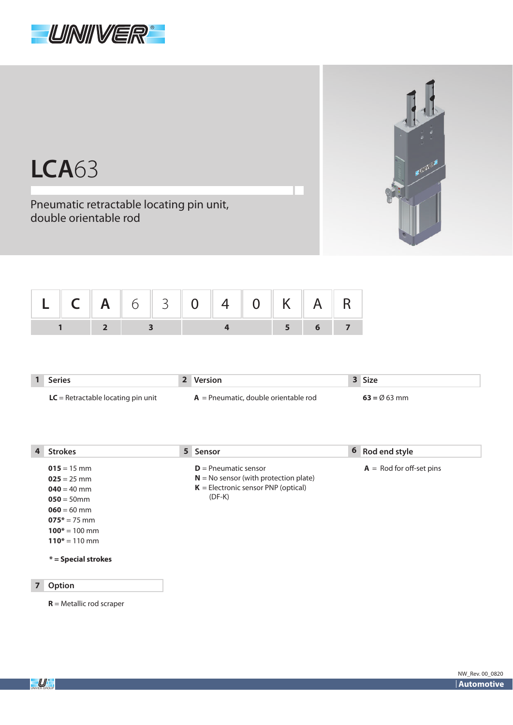



## **LCA**63

Pneumatic retractable locating pin unit, double orientable rod

| L C A 6 3 0 4 0 K A R |  |                                                                  |  |  |       |  |
|-----------------------|--|------------------------------------------------------------------|--|--|-------|--|
|                       |  | $\begin{array}{ c c c c c }\n\hline\n&2&3&\n\hline\n\end{array}$ |  |  | 5 6 7 |  |

| <b>Series</b>                        | 2 Version                              | 3 Size                 |
|--------------------------------------|----------------------------------------|------------------------|
| $LC =$ Retractable locating pin unit | $A =$ Pneumatic, double orientable rod | $63 = \emptyset$ 63 mm |

| 4              | <b>Strokes</b>        |  | 5 Sensor                                | 6 Rod end style                   |
|----------------|-----------------------|--|-----------------------------------------|-----------------------------------|
|                | $015 = 15$ mm         |  | $D =$ Pneumatic sensor                  | $A = \text{Rod}$ for off-set pins |
|                | $025 = 25$ mm         |  | $N = No$ sensor (with protection plate) |                                   |
|                | $040 = 40$ mm         |  | $K =$ Electronic sensor PNP (optical)   |                                   |
|                | $050 = 50$ mm         |  | $(DF-K)$                                |                                   |
|                | $060 = 60$ mm         |  |                                         |                                   |
|                | $075* = 75$ mm        |  |                                         |                                   |
|                | $100* = 100$ mm       |  |                                         |                                   |
|                | $110* = 110$ mm       |  |                                         |                                   |
|                | $*$ = Special strokes |  |                                         |                                   |
| $\overline{7}$ | Option                |  |                                         |                                   |
|                |                       |  |                                         |                                   |

**R** = Metallic rod scraper